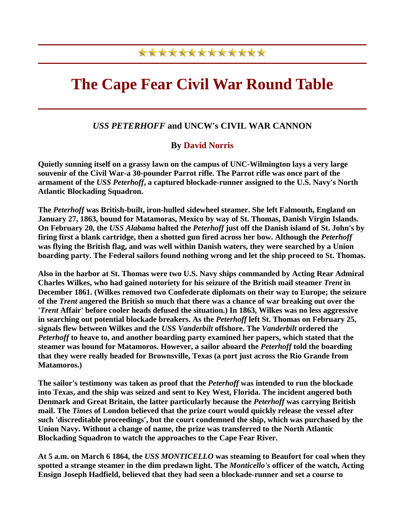## \*\*\*\*\*\*\*\*\*\*\*\*\*

## **The Cape Fear Civil War Round Table**

## *USS PETERHOFF* **and UNCW's CIVIL WAR CANNON**

## **By David Norris**

**Quietly sunning itself on a grassy lawn on the campus of UNC-Wilmington lays a very large souvenir of the Civil War-a 30-pounder Parrot rifle. The Parrot rifle was once part of the armament of the** *USS Peterhoff***, a captured blockade-runner assigned to the U.S. Navy's North Atlantic Blockading Squadron.** 

**The** *Peterhoff* **was British-built, iron-hulled sidewheel steamer. She left Falmouth, England on January 27, 1863, bound for Matamoras, Mexico by way of St. Thomas, Danish Virgin Islands. On February 20, the** *USS Alabama* **halted the** *Peterhoff* **just off the Danish island of St. John's by firing first a blank cartridge, then a shotted gun fired across her bow. Although the** *Peterhoff* **was flying the British flag, and was well within Danish waters, they were searched by a Union boarding party. The Federal sailors found nothing wrong and let the ship proceed to St. Thomas.** 

**Also in the harbor at St. Thomas were two U.S. Navy ships commanded by Acting Rear Admiral Charles Wilkes, who had gained notoriety for his seizure of the British mail steamer** *Trent* **in December 1861. (Wilkes removed two Confederate diplomats on their way to Europe; the seizure of the** *Trent* **angered the British so much that there was a chance of war breaking out over the '***Trent* **Affair' before cooler heads defused the situation.) In 1863, Wilkes was no less aggressive in searching out potential blockade breakers. As the** *Peterhoff* **left St. Thomas on February 25, signals flew between Wilkes and the** *USS Vanderbilt* **offshore. The** *Vanderbilt* **ordered the**  *Peterhoff* **to heave to, and another boarding party examined her papers, which stated that the steamer was bound for Matamoros. However, a sailor aboard the** *Peterhoff* **told the boarding that they were really headed for Brownsville, Texas (a port just across the Rio Grande from Matamoros.)** 

**The sailor's testimony was taken as proof that the** *Peterhoff* **was intended to run the blockade into Texas, and the ship was seized and sent to Key West, Florida. The incident angered both Denmark and Great Britain, the latter particularly because the** *Peterhoff* **was carrying British mail. The** *Times* **of London believed that the prize court would quickly release the vessel after such 'discreditable proceedings', but the court condemned the ship, which was purchased by the Union Navy. Without a change of name, the prize was transferred to the North Atlantic Blockading Squadron to watch the approaches to the Cape Fear River.** 

**At 5 a.m. on March 6 1864, the** *USS MONTICELLO* **was steaming to Beaufort for coal when they spotted a strange steamer in the dim predawn light. The** *Monticello's* **officer of the watch, Acting Ensign Joseph Hadfield, believed that they had seen a blockade-runner and set a course to**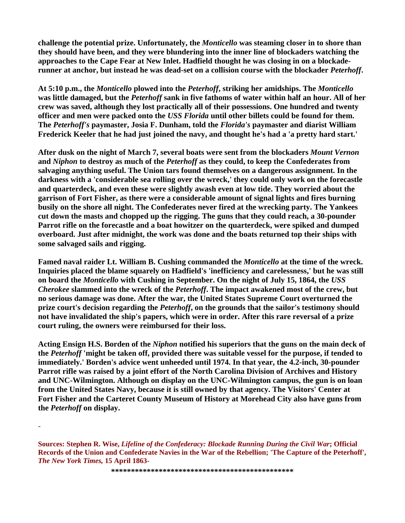**challenge the potential prize. Unfortunately, the** *Monticello* **was steaming closer in to shore than they should have been, and they were blundering into the inner line of blockaders watching the approaches to the Cape Fear at New Inlet. Hadfield thought he was closing in on a blockaderunner at anchor, but instead he was dead-set on a collision course with the blockader** *Peterhoff***.** 

**At 5:10 p.m., the** *Monticello* **plowed into the** *Peterhoff***, striking her amidships. The** *Monticello* **was little damaged, but the** *Peterhoff* **sank in five fathoms of water within half an hour. All of her crew was saved, although they lost practically all of their possessions. One hundred and twenty officer and men were packed onto the** *USS Florida* **until other billets could be found for them. The** *Peterhoff's* **paymaster, Josia F. Dunham, told the** *Florida's* **paymaster and diarist William Frederick Keeler that he had just joined the navy, and thought he's had a 'a pretty hard start.'** 

**After dusk on the night of March 7, several boats were sent from the blockaders** *Mount Vernon* **and** *Niphon* **to destroy as much of the** *Peterhoff* **as they could, to keep the Confederates from salvaging anything useful. The Union tars found themselves on a dangerous assignment. In the darkness with a 'considerable sea rolling over the wreck,' they could only work on the forecastle and quarterdeck, and even these were slightly awash even at low tide. They worried about the garrison of Fort Fisher, as there were a considerable amount of signal lights and fires burning busily on the shore all night. The Confederates never fired at the wrecking party. The Yankees cut down the masts and chopped up the rigging. The guns that they could reach, a 30-pounder Parrot rifle on the forecastle and a boat howitzer on the quarterdeck, were spiked and dumped overboard. Just after midnight, the work was done and the boats returned top their ships with some salvaged sails and rigging.** 

**Famed naval raider Lt. William B. Cushing commanded the** *Monticello* **at the time of the wreck. Inquiries placed the blame squarely on Hadfield's 'inefficiency and carelessness,' but he was still on board the** *Monticello* **with Cushing in September. On the night of July 15, 1864, the** *USS Cherokee* **slammed into the wreck of the** *Peterhoff***. The impact awakened most of the crew, but no serious damage was done. After the war, the United States Supreme Court overturned the prize court's decision regarding the** *Peterhoff***, on the grounds that the sailor's testimony should not have invalidated the ship's papers, which were in order. After this rare reversal of a prize court ruling, the owners were reimbursed for their loss.** 

**Acting Ensign H.S. Borden of the** *Niphon* **notified his superiors that the guns on the main deck of the** *Peterhoff* **'might be taken off, provided there was suitable vessel for the purpose, if tended to immediately.' Borden's advice went unheeded until 1974. In that year, the 4.2-inch, 30-pounder Parrot rifle was raised by a joint effort of the North Carolina Division of Archives and History and UNC-Wilmington. Although on display on the UNC-Wilmington campus, the gun is on loan from the United States Navy, because it is still owned by that agency. The Visitors' Center at Fort Fisher and the Carteret County Museum of History at Morehead City also have guns from the** *Peterhoff* **on display.**

-

**\*\*\*\*\*\*\*\*\*\*\*\*\*\*\*\*\*\*\*\*\*\*\*\*\*\*\*\*\*\*\*\*\*\*\*\*\*\*\*\*\*\*\*\*\*\***

**Sources: Stephen R. Wise,** *Lifeline of the Confederacy: Blockade Running During the Civil War***; Official Records of the Union and Confederate Navies in the War of the Rebellion; 'The Capture of the Peterhoff',**  *The New York Times,* **15 April 1863-**